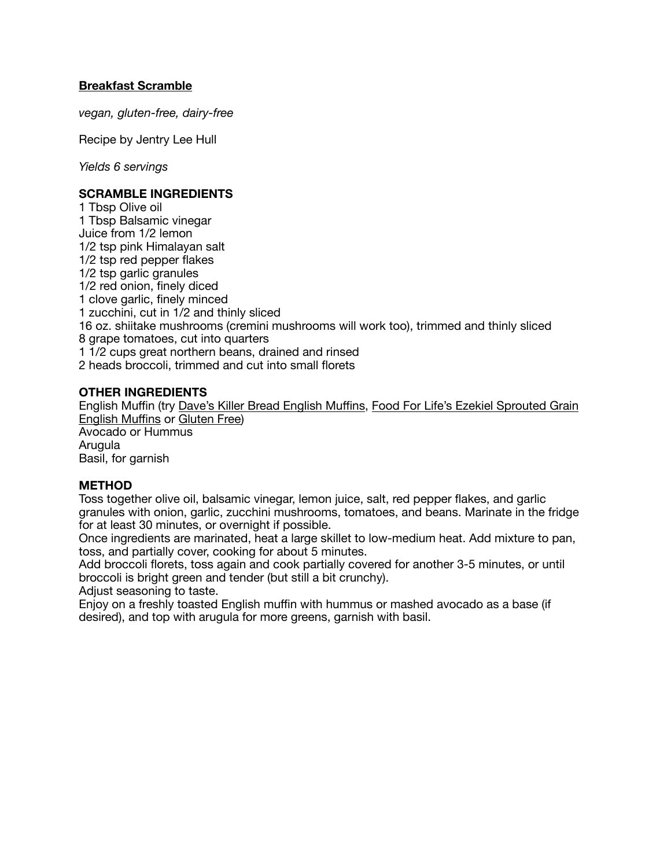## **Breakfast Scramble**

*vegan, gluten-free, dairy-free* 

Recipe by Jentry Lee Hull

*Yields 6 servings* 

## **SCRAMBLE INGREDIENTS**

1 Tbsp Olive oil 1 Tbsp Balsamic vinegar Juice from 1/2 lemon 1/2 tsp pink Himalayan salt 1/2 tsp red pepper flakes 1/2 tsp garlic granules 1/2 red onion, finely diced 1 clove garlic, finely minced 1 zucchini, cut in 1/2 and thinly sliced 16 oz. shiitake mushrooms (cremini mushrooms will work too), trimmed and thinly sliced 8 grape tomatoes, cut into quarters 1 1/2 cups great northern beans, drained and rinsed 2 heads broccoli, trimmed and cut into small florets

## **OTHER INGREDIENTS**

English Muffin (try [Dave's Killer Bread English Mu](http://www.daveskillerbread.com/rockin-grains-muffins)ffins, [Food For Life's Ezekiel Sprouted Grain](https://www.foodforlife.com/product/english-muffins/ezekiel-49-sprouted-whole-grain-english-muffins)  [English Mu](https://www.foodforlife.com/product/english-muffins/ezekiel-49-sprouted-whole-grain-english-muffins)ffins or [Gluten Free\)](https://www.foodforlife.com/product/english-muffins/gluten-free-brown-rice-english-muffins) Avocado or Hummus Arugula Basil, for garnish

## **METHOD**

Toss together olive oil, balsamic vinegar, lemon juice, salt, red pepper flakes, and garlic granules with onion, garlic, zucchini mushrooms, tomatoes, and beans. Marinate in the fridge for at least 30 minutes, or overnight if possible.

Once ingredients are marinated, heat a large skillet to low-medium heat. Add mixture to pan, toss, and partially cover, cooking for about 5 minutes.

Add broccoli florets, toss again and cook partially covered for another 3-5 minutes, or until broccoli is bright green and tender (but still a bit crunchy).

Adjust seasoning to taste.

Enjoy on a freshly toasted English muffin with hummus or mashed avocado as a base (if desired), and top with arugula for more greens, garnish with basil.